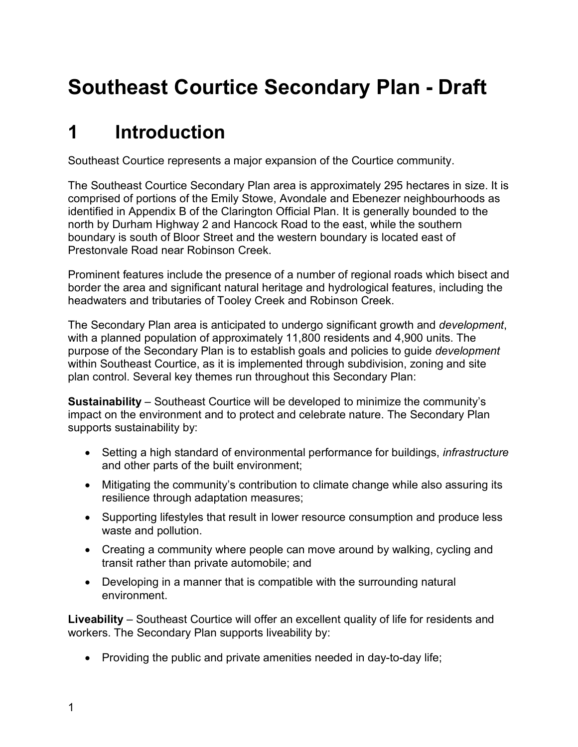# **Southeast Courtice Secondary Plan - Draft**

# **1 Introduction**

Southeast Courtice represents a major expansion of the Courtice community.

The Southeast Courtice Secondary Plan area is approximately 295 hectares in size. It is comprised of portions of the Emily Stowe, Avondale and Ebenezer neighbourhoods as identified in Appendix B of the Clarington Official Plan. It is generally bounded to the north by Durham Highway 2 and Hancock Road to the east, while the southern boundary is south of Bloor Street and the western boundary is located east of Prestonvale Road near Robinson Creek.

Prominent features include the presence of a number of regional roads which bisect and border the area and significant natural heritage and hydrological features, including the headwaters and tributaries of Tooley Creek and Robinson Creek.

The Secondary Plan area is anticipated to undergo significant growth and *development*, with a planned population of approximately 11,800 residents and 4,900 units. The purpose of the Secondary Plan is to establish goals and policies to guide *development* within Southeast Courtice, as it is implemented through subdivision, zoning and site plan control. Several key themes run throughout this Secondary Plan:

**Sustainability** – Southeast Courtice will be developed to minimize the community's impact on the environment and to protect and celebrate nature. The Secondary Plan supports sustainability by:

- Setting a high standard of environmental performance for buildings, *infrastructure* and other parts of the built environment;
- Mitigating the community's contribution to climate change while also assuring its resilience through adaptation measures;
- Supporting lifestyles that result in lower resource consumption and produce less waste and pollution.
- Creating a community where people can move around by walking, cycling and transit rather than private automobile; and
- Developing in a manner that is compatible with the surrounding natural environment.

**Liveability** – Southeast Courtice will offer an excellent quality of life for residents and workers. The Secondary Plan supports liveability by:

• Providing the public and private amenities needed in day-to-day life;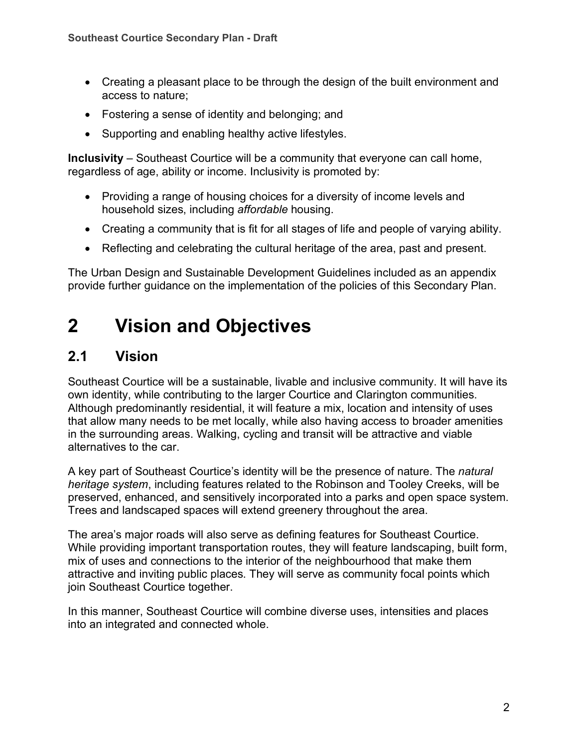- Creating a pleasant place to be through the design of the built environment and access to nature;
- Fostering a sense of identity and belonging; and
- Supporting and enabling healthy active lifestyles.

**Inclusivity** – Southeast Courtice will be a community that everyone can call home, regardless of age, ability or income. Inclusivity is promoted by:

- Providing a range of housing choices for a diversity of income levels and household sizes, including *affordable* housing.
- Creating a community that is fit for all stages of life and people of varying ability.
- Reflecting and celebrating the cultural heritage of the area, past and present.

The Urban Design and Sustainable Development Guidelines included as an appendix provide further guidance on the implementation of the policies of this Secondary Plan.

# **2 Vision and Objectives**

## **2.1 Vision**

Southeast Courtice will be a sustainable, livable and inclusive community. It will have its own identity, while contributing to the larger Courtice and Clarington communities. Although predominantly residential, it will feature a mix, location and intensity of uses that allow many needs to be met locally, while also having access to broader amenities in the surrounding areas. Walking, cycling and transit will be attractive and viable alternatives to the car.

A key part of Southeast Courtice's identity will be the presence of nature. The *natural heritage system*, including features related to the Robinson and Tooley Creeks, will be preserved, enhanced, and sensitively incorporated into a parks and open space system. Trees and landscaped spaces will extend greenery throughout the area.

The area's major roads will also serve as defining features for Southeast Courtice. While providing important transportation routes, they will feature landscaping, built form, mix of uses and connections to the interior of the neighbourhood that make them attractive and inviting public places. They will serve as community focal points which join Southeast Courtice together.

In this manner, Southeast Courtice will combine diverse uses, intensities and places into an integrated and connected whole.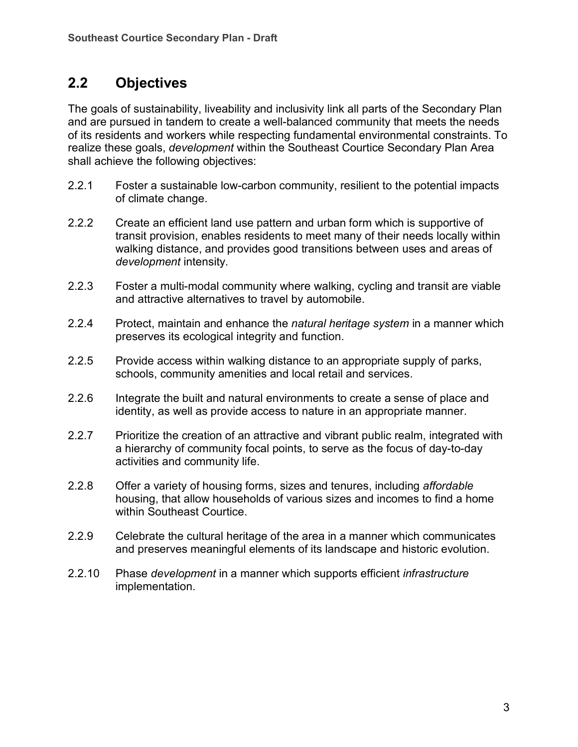## **2.2 Objectives**

The goals of sustainability, liveability and inclusivity link all parts of the Secondary Plan and are pursued in tandem to create a well-balanced community that meets the needs of its residents and workers while respecting fundamental environmental constraints. To realize these goals, *development* within the Southeast Courtice Secondary Plan Area shall achieve the following objectives:

- 2.2.1 Foster a sustainable low-carbon community, resilient to the potential impacts of climate change.
- 2.2.2 Create an efficient land use pattern and urban form which is supportive of transit provision, enables residents to meet many of their needs locally within walking distance, and provides good transitions between uses and areas of *development* intensity.
- 2.2.3 Foster a multi-modal community where walking, cycling and transit are viable and attractive alternatives to travel by automobile.
- 2.2.4 Protect, maintain and enhance the *natural heritage system* in a manner which preserves its ecological integrity and function.
- 2.2.5 Provide access within walking distance to an appropriate supply of parks, schools, community amenities and local retail and services.
- 2.2.6 Integrate the built and natural environments to create a sense of place and identity, as well as provide access to nature in an appropriate manner.
- 2.2.7 Prioritize the creation of an attractive and vibrant public realm, integrated with a hierarchy of community focal points, to serve as the focus of day-to-day activities and community life.
- 2.2.8 Offer a variety of housing forms, sizes and tenures, including *affordable* housing, that allow households of various sizes and incomes to find a home within Southeast Courtice.
- 2.2.9 Celebrate the cultural heritage of the area in a manner which communicates and preserves meaningful elements of its landscape and historic evolution.
- 2.2.10 Phase *development* in a manner which supports efficient *infrastructure* implementation.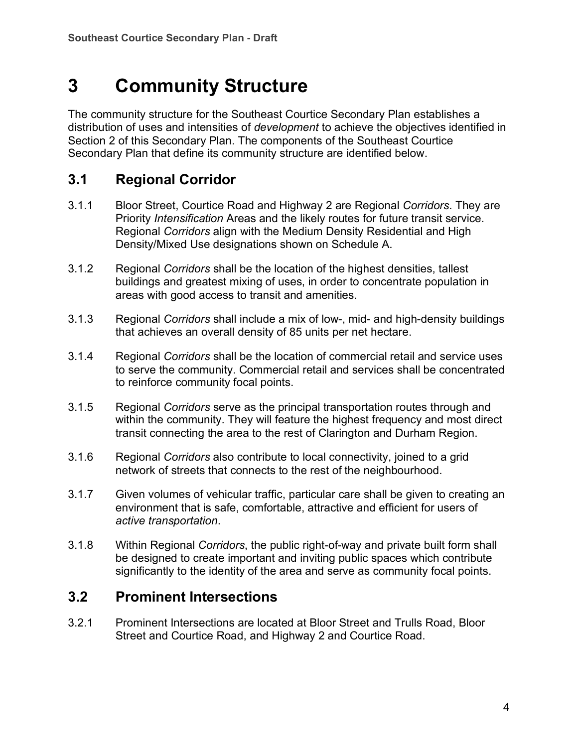# **3 Community Structure**

The community structure for the Southeast Courtice Secondary Plan establishes a distribution of uses and intensities of *development* to achieve the objectives identified in Section 2 of this Secondary Plan. The components of the Southeast Courtice Secondary Plan that define its community structure are identified below.

## **3.1 Regional Corridor**

- 3.1.1 Bloor Street, Courtice Road and Highway 2 are Regional *Corridors*. They are Priority *Intensification* Areas and the likely routes for future transit service. Regional *Corridors* align with the Medium Density Residential and High Density/Mixed Use designations shown on Schedule A.
- 3.1.2 Regional *Corridors* shall be the location of the highest densities, tallest buildings and greatest mixing of uses, in order to concentrate population in areas with good access to transit and amenities.
- 3.1.3 Regional *Corridors* shall include a mix of low-, mid- and high-density buildings that achieves an overall density of 85 units per net hectare.
- 3.1.4 Regional *Corridors* shall be the location of commercial retail and service uses to serve the community. Commercial retail and services shall be concentrated to reinforce community focal points.
- 3.1.5 Regional *Corridors* serve as the principal transportation routes through and within the community. They will feature the highest frequency and most direct transit connecting the area to the rest of Clarington and Durham Region.
- 3.1.6 Regional *Corridors* also contribute to local connectivity, joined to a grid network of streets that connects to the rest of the neighbourhood.
- 3.1.7 Given volumes of vehicular traffic, particular care shall be given to creating an environment that is safe, comfortable, attractive and efficient for users of *active transportation*.
- 3.1.8 Within Regional *Corridors*, the public right-of-way and private built form shall be designed to create important and inviting public spaces which contribute significantly to the identity of the area and serve as community focal points.

## **3.2 Prominent Intersections**

3.2.1 Prominent Intersections are located at Bloor Street and Trulls Road, Bloor Street and Courtice Road, and Highway 2 and Courtice Road.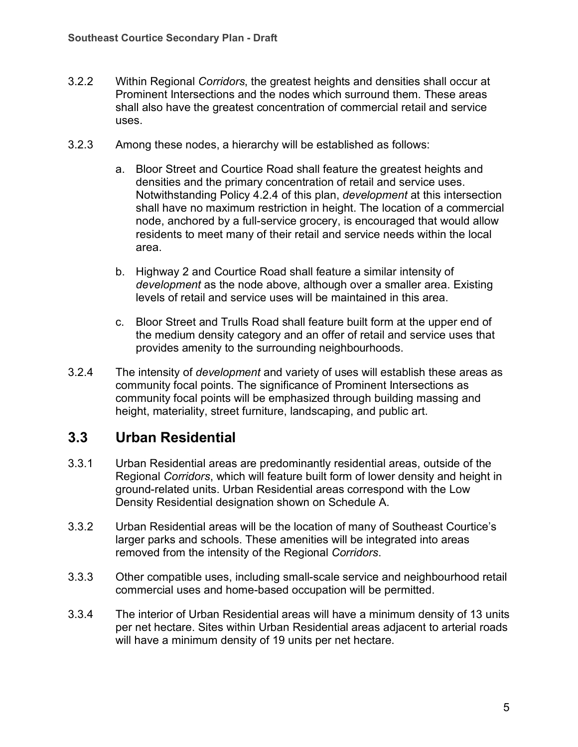- 3.2.2 Within Regional *Corridors*, the greatest heights and densities shall occur at Prominent Intersections and the nodes which surround them. These areas shall also have the greatest concentration of commercial retail and service uses.
- 3.2.3 Among these nodes, a hierarchy will be established as follows:
	- a. Bloor Street and Courtice Road shall feature the greatest heights and densities and the primary concentration of retail and service uses. Notwithstanding Policy 4.2.4 of this plan, *development* at this intersection shall have no maximum restriction in height. The location of a commercial node, anchored by a full-service grocery, is encouraged that would allow residents to meet many of their retail and service needs within the local area.
	- b. Highway 2 and Courtice Road shall feature a similar intensity of *development* as the node above, although over a smaller area. Existing levels of retail and service uses will be maintained in this area.
	- c. Bloor Street and Trulls Road shall feature built form at the upper end of the medium density category and an offer of retail and service uses that provides amenity to the surrounding neighbourhoods.
- 3.2.4 The intensity of *development* and variety of uses will establish these areas as community focal points. The significance of Prominent Intersections as community focal points will be emphasized through building massing and height, materiality, street furniture, landscaping, and public art.

## **3.3 Urban Residential**

- 3.3.1 Urban Residential areas are predominantly residential areas, outside of the Regional *Corridors*, which will feature built form of lower density and height in ground-related units. Urban Residential areas correspond with the Low Density Residential designation shown on Schedule A.
- 3.3.2 Urban Residential areas will be the location of many of Southeast Courtice's larger parks and schools. These amenities will be integrated into areas removed from the intensity of the Regional *Corridors*.
- 3.3.3 Other compatible uses, including small-scale service and neighbourhood retail commercial uses and home-based occupation will be permitted.
- 3.3.4 The interior of Urban Residential areas will have a minimum density of 13 units per net hectare. Sites within Urban Residential areas adjacent to arterial roads will have a minimum density of 19 units per net hectare.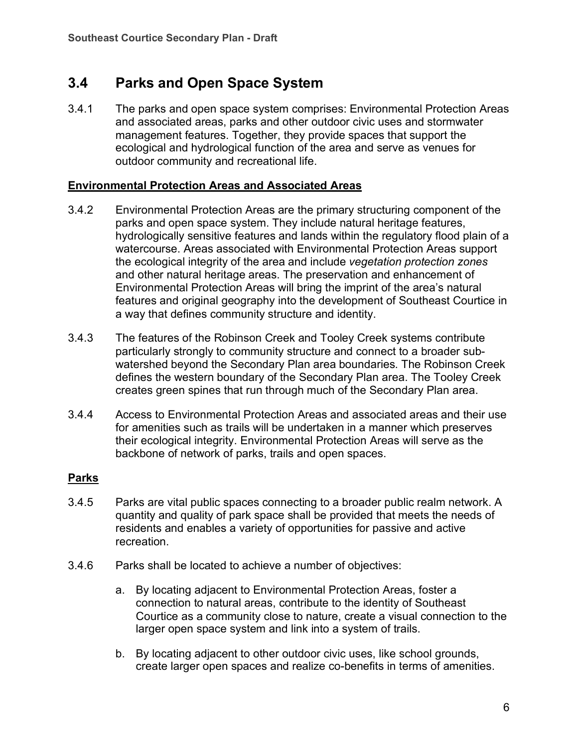## **3.4 Parks and Open Space System**

3.4.1 The parks and open space system comprises: Environmental Protection Areas and associated areas, parks and other outdoor civic uses and stormwater management features. Together, they provide spaces that support the ecological and hydrological function of the area and serve as venues for outdoor community and recreational life.

#### **Environmental Protection Areas and Associated Areas**

- 3.4.2 Environmental Protection Areas are the primary structuring component of the parks and open space system. They include natural heritage features, hydrologically sensitive features and lands within the regulatory flood plain of a watercourse. Areas associated with Environmental Protection Areas support the ecological integrity of the area and include *vegetation protection zones* and other natural heritage areas. The preservation and enhancement of Environmental Protection Areas will bring the imprint of the area's natural features and original geography into the development of Southeast Courtice in a way that defines community structure and identity.
- 3.4.3 The features of the Robinson Creek and Tooley Creek systems contribute particularly strongly to community structure and connect to a broader subwatershed beyond the Secondary Plan area boundaries. The Robinson Creek defines the western boundary of the Secondary Plan area. The Tooley Creek creates green spines that run through much of the Secondary Plan area.
- 3.4.4 Access to Environmental Protection Areas and associated areas and their use for amenities such as trails will be undertaken in a manner which preserves their ecological integrity. Environmental Protection Areas will serve as the backbone of network of parks, trails and open spaces.

#### **Parks**

- 3.4.5 Parks are vital public spaces connecting to a broader public realm network. A quantity and quality of park space shall be provided that meets the needs of residents and enables a variety of opportunities for passive and active recreation.
- 3.4.6 Parks shall be located to achieve a number of objectives:
	- a. By locating adjacent to Environmental Protection Areas, foster a connection to natural areas, contribute to the identity of Southeast Courtice as a community close to nature, create a visual connection to the larger open space system and link into a system of trails.
	- b. By locating adjacent to other outdoor civic uses, like school grounds, create larger open spaces and realize co-benefits in terms of amenities.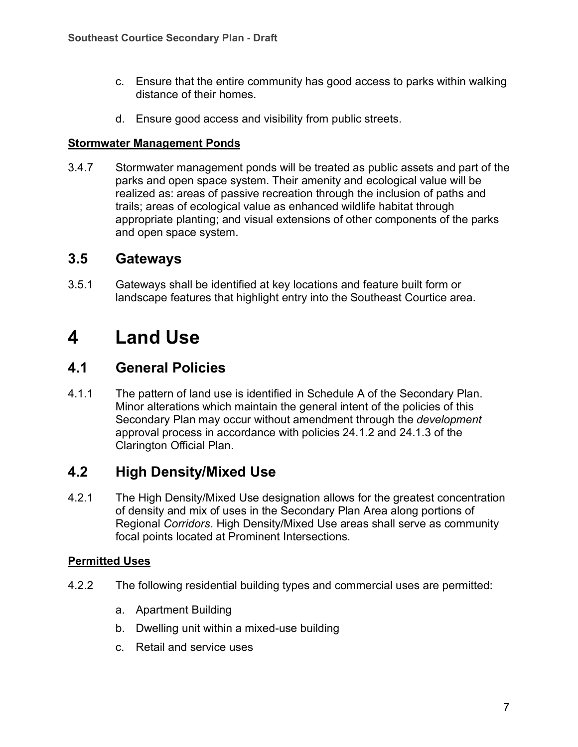- c. Ensure that the entire community has good access to parks within walking distance of their homes.
- d. Ensure good access and visibility from public streets.

#### **Stormwater Management Ponds**

3.4.7 Stormwater management ponds will be treated as public assets and part of the parks and open space system. Their amenity and ecological value will be realized as: areas of passive recreation through the inclusion of paths and trails; areas of ecological value as enhanced wildlife habitat through appropriate planting; and visual extensions of other components of the parks and open space system.

### **3.5 Gateways**

3.5.1 Gateways shall be identified at key locations and feature built form or landscape features that highlight entry into the Southeast Courtice area.

## **4 Land Use**

## **4.1 General Policies**

4.1.1 The pattern of land use is identified in Schedule A of the Secondary Plan. Minor alterations which maintain the general intent of the policies of this Secondary Plan may occur without amendment through the *development* approval process in accordance with policies 24.1.2 and 24.1.3 of the Clarington Official Plan.

## **4.2 High Density/Mixed Use**

4.2.1 The High Density/Mixed Use designation allows for the greatest concentration of density and mix of uses in the Secondary Plan Area along portions of Regional *Corridors*. High Density/Mixed Use areas shall serve as community focal points located at Prominent Intersections.

#### **Permitted Uses**

- 4.2.2 The following residential building types and commercial uses are permitted:
	- a. Apartment Building
	- b. Dwelling unit within a mixed-use building
	- c. Retail and service uses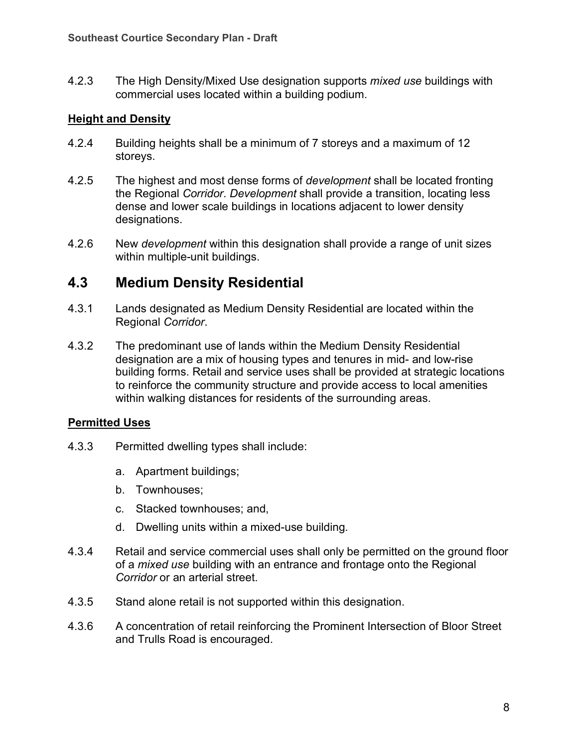4.2.3 The High Density/Mixed Use designation supports *mixed use* buildings with commercial uses located within a building podium.

#### **Height and Density**

- 4.2.4 Building heights shall be a minimum of 7 storeys and a maximum of 12 storeys.
- 4.2.5 The highest and most dense forms of *development* shall be located fronting the Regional *Corridor*. *Development* shall provide a transition, locating less dense and lower scale buildings in locations adjacent to lower density designations.
- 4.2.6 New *development* within this designation shall provide a range of unit sizes within multiple-unit buildings.

## **4.3 Medium Density Residential**

- 4.3.1 Lands designated as Medium Density Residential are located within the Regional *Corridor*.
- 4.3.2 The predominant use of lands within the Medium Density Residential designation are a mix of housing types and tenures in mid- and low-rise building forms. Retail and service uses shall be provided at strategic locations to reinforce the community structure and provide access to local amenities within walking distances for residents of the surrounding areas.

#### **Permitted Uses**

- 4.3.3 Permitted dwelling types shall include:
	- a. Apartment buildings;
	- b. Townhouses;
	- c. Stacked townhouses; and,
	- d. Dwelling units within a mixed-use building.
- 4.3.4 Retail and service commercial uses shall only be permitted on the ground floor of a *mixed use* building with an entrance and frontage onto the Regional *Corridor* or an arterial street.
- 4.3.5 Stand alone retail is not supported within this designation.
- 4.3.6 A concentration of retail reinforcing the Prominent Intersection of Bloor Street and Trulls Road is encouraged.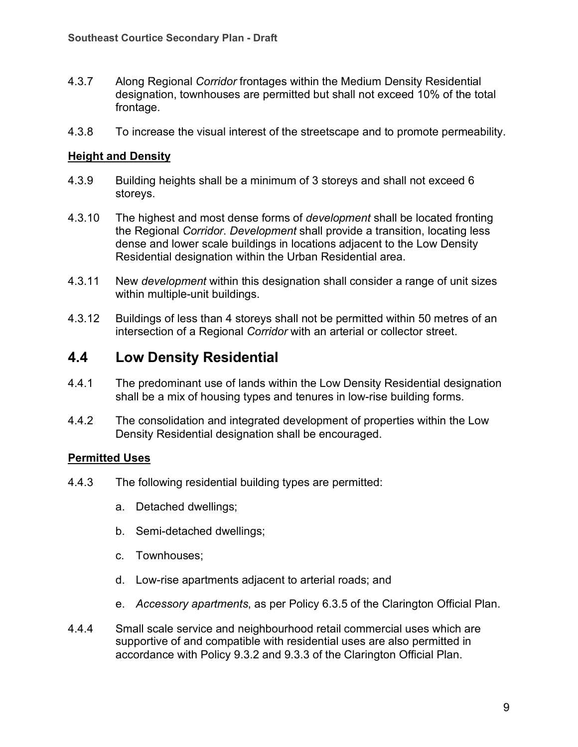- 4.3.7 Along Regional *Corridor* frontages within the Medium Density Residential designation, townhouses are permitted but shall not exceed 10% of the total frontage.
- 4.3.8 To increase the visual interest of the streetscape and to promote permeability.

#### **Height and Density**

- 4.3.9 Building heights shall be a minimum of 3 storeys and shall not exceed 6 storeys.
- 4.3.10 The highest and most dense forms of *development* shall be located fronting the Regional *Corridor*. *Development* shall provide a transition, locating less dense and lower scale buildings in locations adjacent to the Low Density Residential designation within the Urban Residential area.
- 4.3.11 New *development* within this designation shall consider a range of unit sizes within multiple-unit buildings.
- 4.3.12 Buildings of less than 4 storeys shall not be permitted within 50 metres of an intersection of a Regional *Corridor* with an arterial or collector street.

## **4.4 Low Density Residential**

- 4.4.1 The predominant use of lands within the Low Density Residential designation shall be a mix of housing types and tenures in low-rise building forms.
- 4.4.2 The consolidation and integrated development of properties within the Low Density Residential designation shall be encouraged.

#### **Permitted Uses**

- 4.4.3 The following residential building types are permitted:
	- a. Detached dwellings;
	- b. Semi-detached dwellings;
	- c. Townhouses;
	- d. Low-rise apartments adjacent to arterial roads; and
	- e. *Accessory apartments*, as per Policy 6.3.5 of the Clarington Official Plan.
- 4.4.4 Small scale service and neighbourhood retail commercial uses which are supportive of and compatible with residential uses are also permitted in accordance with Policy 9.3.2 and 9.3.3 of the Clarington Official Plan.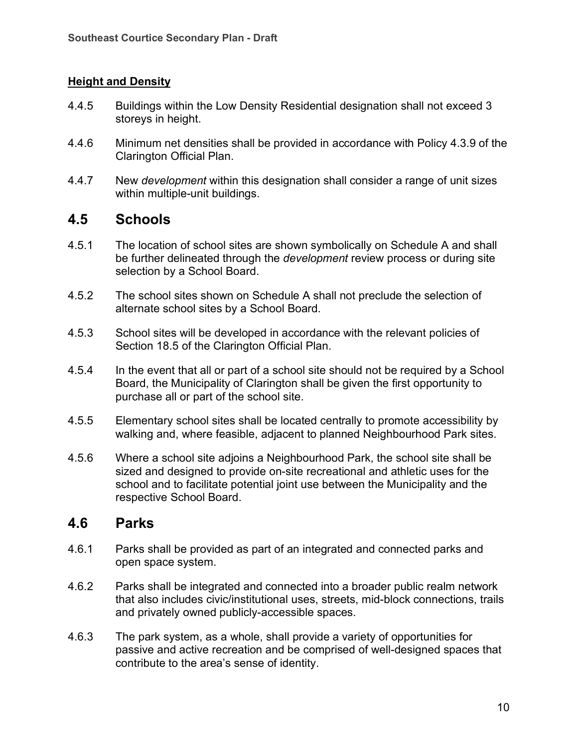#### **Height and Density**

- 4.4.5 Buildings within the Low Density Residential designation shall not exceed 3 storeys in height.
- 4.4.6 Minimum net densities shall be provided in accordance with Policy 4.3.9 of the Clarington Official Plan.
- 4.4.7 New *development* within this designation shall consider a range of unit sizes within multiple-unit buildings.

### **4.5 Schools**

- 4.5.1 The location of school sites are shown symbolically on Schedule A and shall be further delineated through the *development* review process or during site selection by a School Board.
- 4.5.2 The school sites shown on Schedule A shall not preclude the selection of alternate school sites by a School Board.
- 4.5.3 School sites will be developed in accordance with the relevant policies of Section 18.5 of the Clarington Official Plan.
- 4.5.4 In the event that all or part of a school site should not be required by a School Board, the Municipality of Clarington shall be given the first opportunity to purchase all or part of the school site.
- 4.5.5 Elementary school sites shall be located centrally to promote accessibility by walking and, where feasible, adjacent to planned Neighbourhood Park sites.
- 4.5.6 Where a school site adjoins a Neighbourhood Park, the school site shall be sized and designed to provide on-site recreational and athletic uses for the school and to facilitate potential joint use between the Municipality and the respective School Board.

### **4.6 Parks**

- 4.6.1 Parks shall be provided as part of an integrated and connected parks and open space system.
- 4.6.2 Parks shall be integrated and connected into a broader public realm network that also includes civic/institutional uses, streets, mid-block connections, trails and privately owned publicly-accessible spaces.
- 4.6.3 The park system, as a whole, shall provide a variety of opportunities for passive and active recreation and be comprised of well-designed spaces that contribute to the area's sense of identity.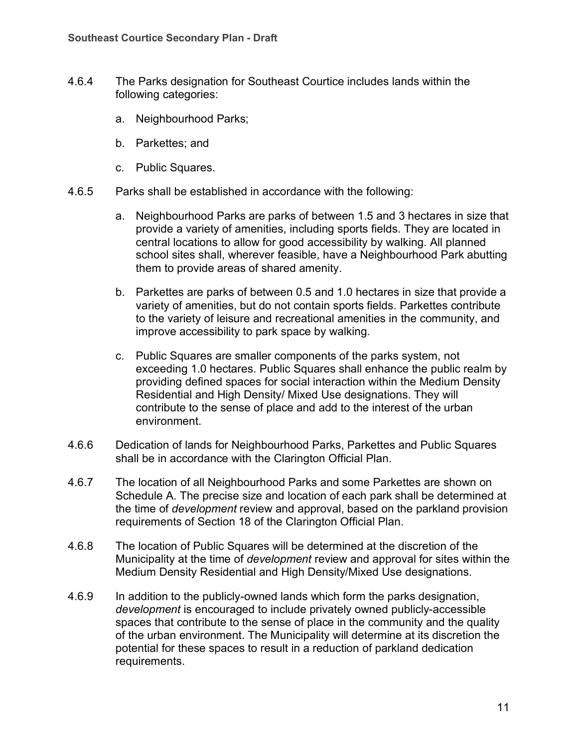- 4.6.4 The Parks designation for Southeast Courtice includes lands within the following categories:
	- a. Neighbourhood Parks;
	- b. Parkettes; and
	- c. Public Squares.
- 4.6.5 Parks shall be established in accordance with the following:
	- a. Neighbourhood Parks are parks of between 1.5 and 3 hectares in size that provide a variety of amenities, including sports fields. They are located in central locations to allow for good accessibility by walking. All planned school sites shall, wherever feasible, have a Neighbourhood Park abutting them to provide areas of shared amenity.
	- b. Parkettes are parks of between 0.5 and 1.0 hectares in size that provide a variety of amenities, but do not contain sports fields. Parkettes contribute to the variety of leisure and recreational amenities in the community, and improve accessibility to park space by walking.
	- c. Public Squares are smaller components of the parks system, not exceeding 1.0 hectares. Public Squares shall enhance the public realm by providing defined spaces for social interaction within the Medium Density Residential and High Density/ Mixed Use designations. They will contribute to the sense of place and add to the interest of the urban environment.
- 4.6.6 Dedication of lands for Neighbourhood Parks, Parkettes and Public Squares shall be in accordance with the Clarington Official Plan.
- 4.6.7 The location of all Neighbourhood Parks and some Parkettes are shown on Schedule A. The precise size and location of each park shall be determined at the time of *development* review and approval, based on the parkland provision requirements of Section 18 of the Clarington Official Plan.
- 4.6.8 The location of Public Squares will be determined at the discretion of the Municipality at the time of *development* review and approval for sites within the Medium Density Residential and High Density/Mixed Use designations.
- 4.6.9 In addition to the publicly-owned lands which form the parks designation, *development* is encouraged to include privately owned publicly-accessible spaces that contribute to the sense of place in the community and the quality of the urban environment. The Municipality will determine at its discretion the potential for these spaces to result in a reduction of parkland dedication requirements.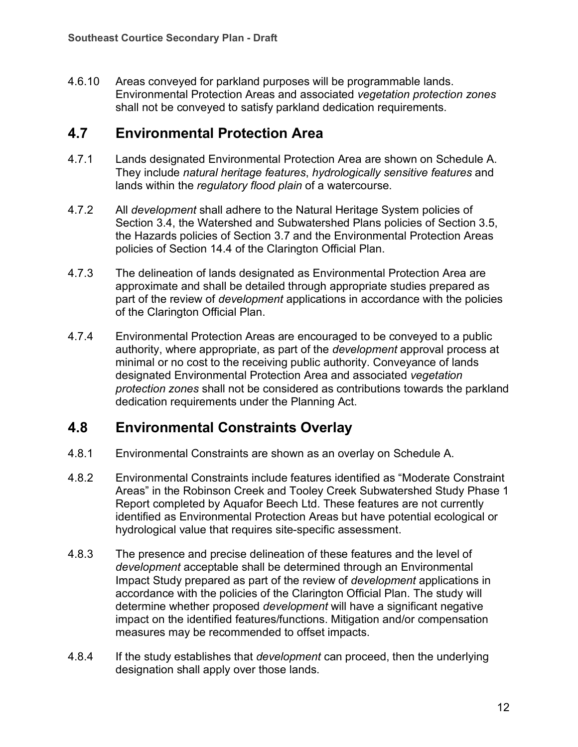4.6.10 Areas conveyed for parkland purposes will be programmable lands. Environmental Protection Areas and associated *vegetation protection zones* shall not be conveyed to satisfy parkland dedication requirements.

## **4.7 Environmental Protection Area**

- 4.7.1 Lands designated Environmental Protection Area are shown on Schedule A. They include *natural heritage features*, *hydrologically sensitive features* and lands within the *regulatory flood plain* of a watercourse.
- 4.7.2 All *development* shall adhere to the Natural Heritage System policies of Section 3.4, the Watershed and Subwatershed Plans policies of Section 3.5, the Hazards policies of Section 3.7 and the Environmental Protection Areas policies of Section 14.4 of the Clarington Official Plan.
- 4.7.3 The delineation of lands designated as Environmental Protection Area are approximate and shall be detailed through appropriate studies prepared as part of the review of *development* applications in accordance with the policies of the Clarington Official Plan.
- 4.7.4 Environmental Protection Areas are encouraged to be conveyed to a public authority, where appropriate, as part of the *development* approval process at minimal or no cost to the receiving public authority. Conveyance of lands designated Environmental Protection Area and associated *vegetation protection zones* shall not be considered as contributions towards the parkland dedication requirements under the Planning Act.

## **4.8 Environmental Constraints Overlay**

- 4.8.1 Environmental Constraints are shown as an overlay on Schedule A.
- <span id="page-11-0"></span>4.8.2 Environmental Constraints include features identified as "Moderate Constraint Areas" in the Robinson Creek and Tooley Creek Subwatershed Study Phase 1 Report completed by Aquafor Beech Ltd. These features are not currently identified as Environmental Protection Areas but have potential ecological or hydrological value that requires site-specific assessment.
- 4.8.3 The presence and precise delineation of these features and the level of *development* acceptable shall be determined through an Environmental Impact Study prepared as part of the review of *development* applications in accordance with the policies of the Clarington Official Plan. The study will determine whether proposed *development* will have a significant negative impact on the identified features/functions. Mitigation and/or compensation measures may be recommended to offset impacts.
- 4.8.4 If the study establishes that *development* can proceed, then the underlying designation shall apply over those lands.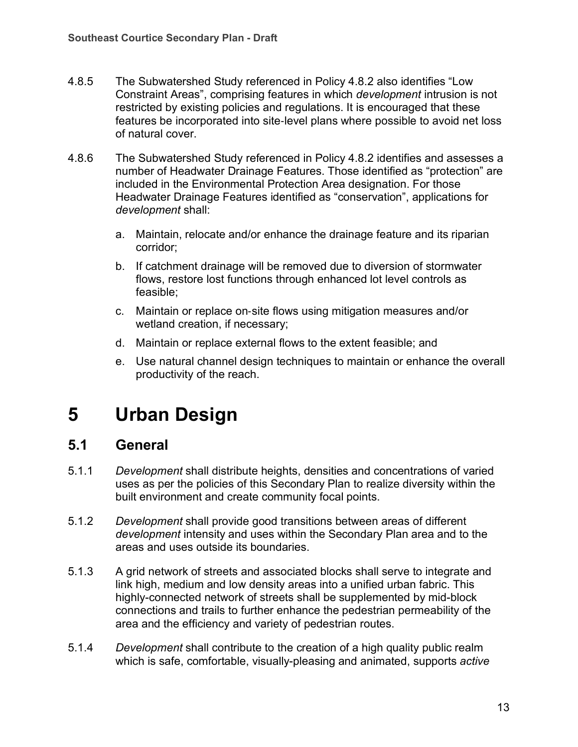- 4.8.5 The Subwatershed Study referenced in Policy [4.8.2](#page-11-0) also identifies "Low Constraint Areas", comprising features in which *development* intrusion is not restricted by existing policies and regulations. It is encouraged that these features be incorporated into site‐level plans where possible to avoid net loss of natural cover.
- 4.8.6 The Subwatershed Study referenced in Policy 4.8.2 identifies and assesses a number of Headwater Drainage Features. Those identified as "protection" are included in the Environmental Protection Area designation. For those Headwater Drainage Features identified as "conservation", applications for *development* shall:
	- a. Maintain, relocate and/or enhance the drainage feature and its riparian corridor;
	- b. If catchment drainage will be removed due to diversion of stormwater flows, restore lost functions through enhanced lot level controls as feasible;
	- c. Maintain or replace on‐site flows using mitigation measures and/or wetland creation, if necessary;
	- d. Maintain or replace external flows to the extent feasible; and
	- e. Use natural channel design techniques to maintain or enhance the overall productivity of the reach.

## **5 Urban Design**

### **5.1 General**

- 5.1.1 *Development* shall distribute heights, densities and concentrations of varied uses as per the policies of this Secondary Plan to realize diversity within the built environment and create community focal points.
- 5.1.2 *Development* shall provide good transitions between areas of different *development* intensity and uses within the Secondary Plan area and to the areas and uses outside its boundaries.
- 5.1.3 A grid network of streets and associated blocks shall serve to integrate and link high, medium and low density areas into a unified urban fabric. This highly-connected network of streets shall be supplemented by mid-block connections and trails to further enhance the pedestrian permeability of the area and the efficiency and variety of pedestrian routes.
- 5.1.4 *Development* shall contribute to the creation of a high quality public realm which is safe, comfortable, visually-pleasing and animated, supports *active*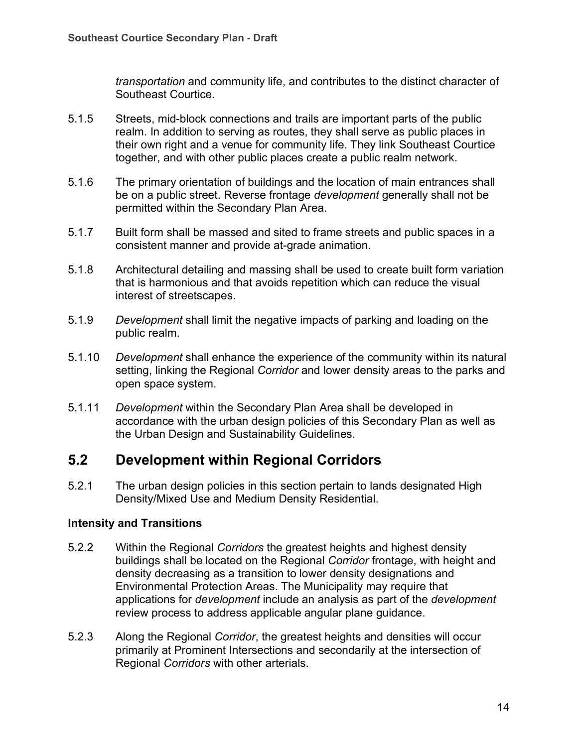*transportation* and community life, and contributes to the distinct character of Southeast Courtice.

- 5.1.5 Streets, mid-block connections and trails are important parts of the public realm. In addition to serving as routes, they shall serve as public places in their own right and a venue for community life. They link Southeast Courtice together, and with other public places create a public realm network.
- 5.1.6 The primary orientation of buildings and the location of main entrances shall be on a public street. Reverse frontage *development* generally shall not be permitted within the Secondary Plan Area.
- 5.1.7 Built form shall be massed and sited to frame streets and public spaces in a consistent manner and provide at-grade animation.
- 5.1.8 Architectural detailing and massing shall be used to create built form variation that is harmonious and that avoids repetition which can reduce the visual interest of streetscapes.
- 5.1.9 *Development* shall limit the negative impacts of parking and loading on the public realm.
- 5.1.10 *Development* shall enhance the experience of the community within its natural setting, linking the Regional *Corridor* and lower density areas to the parks and open space system.
- 5.1.11 *Development* within the Secondary Plan Area shall be developed in accordance with the urban design policies of this Secondary Plan as well as the Urban Design and Sustainability Guidelines.

## **5.2 Development within Regional Corridors**

5.2.1 The urban design policies in this section pertain to lands designated High Density/Mixed Use and Medium Density Residential.

#### **Intensity and Transitions**

- 5.2.2 Within the Regional *Corridors* the greatest heights and highest density buildings shall be located on the Regional *Corridor* frontage, with height and density decreasing as a transition to lower density designations and Environmental Protection Areas. The Municipality may require that applications for *development* include an analysis as part of the *development* review process to address applicable angular plane guidance.
- 5.2.3 Along the Regional *Corridor*, the greatest heights and densities will occur primarily at Prominent Intersections and secondarily at the intersection of Regional *Corridors* with other arterials.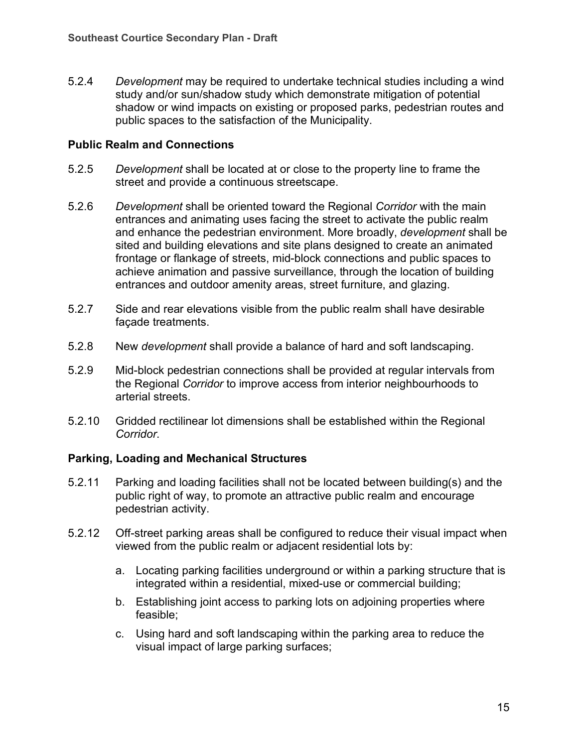5.2.4 *Development* may be required to undertake technical studies including a wind study and/or sun/shadow study which demonstrate mitigation of potential shadow or wind impacts on existing or proposed parks, pedestrian routes and public spaces to the satisfaction of the Municipality.

#### **Public Realm and Connections**

- 5.2.5 *Development* shall be located at or close to the property line to frame the street and provide a continuous streetscape.
- 5.2.6 *Development* shall be oriented toward the Regional *Corridor* with the main entrances and animating uses facing the street to activate the public realm and enhance the pedestrian environment. More broadly, *development* shall be sited and building elevations and site plans designed to create an animated frontage or flankage of streets, mid-block connections and public spaces to achieve animation and passive surveillance, through the location of building entrances and outdoor amenity areas, street furniture, and glazing.
- 5.2.7 Side and rear elevations visible from the public realm shall have desirable façade treatments.
- 5.2.8 New *development* shall provide a balance of hard and soft landscaping.
- 5.2.9 Mid-block pedestrian connections shall be provided at regular intervals from the Regional *Corridor* to improve access from interior neighbourhoods to arterial streets.
- 5.2.10 Gridded rectilinear lot dimensions shall be established within the Regional *Corridor*.

#### **Parking, Loading and Mechanical Structures**

- <span id="page-14-0"></span>5.2.11 Parking and loading facilities shall not be located between building(s) and the public right of way, to promote an attractive public realm and encourage pedestrian activity.
- <span id="page-14-1"></span>5.2.12 Off-street parking areas shall be configured to reduce their visual impact when viewed from the public realm or adjacent residential lots by:
	- a. Locating parking facilities underground or within a parking structure that is integrated within a residential, mixed-use or commercial building;
	- b. Establishing joint access to parking lots on adjoining properties where feasible;
	- c. Using hard and soft landscaping within the parking area to reduce the visual impact of large parking surfaces;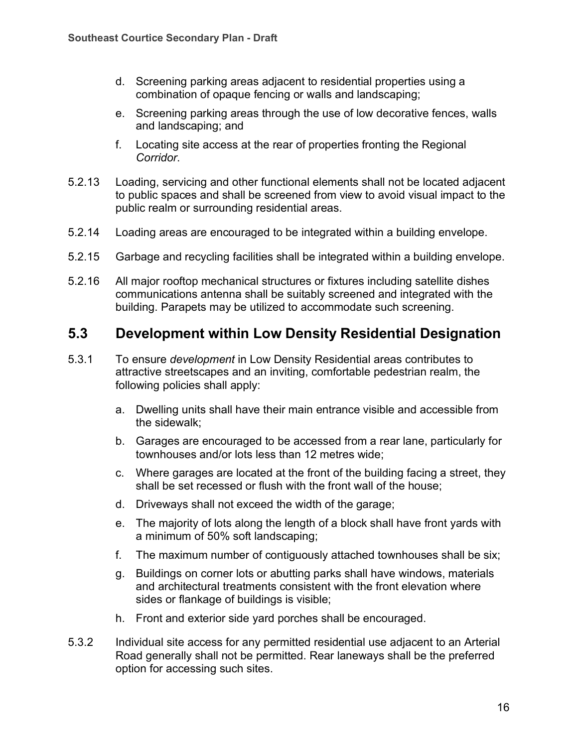- d. Screening parking areas adjacent to residential properties using a combination of opaque fencing or walls and landscaping;
- e. Screening parking areas through the use of low decorative fences, walls and landscaping; and
- f. Locating site access at the rear of properties fronting the Regional *Corridor*.
- 5.2.13 Loading, servicing and other functional elements shall not be located adjacent to public spaces and shall be screened from view to avoid visual impact to the public realm or surrounding residential areas.
- 5.2.14 Loading areas are encouraged to be integrated within a building envelope.
- 5.2.15 Garbage and recycling facilities shall be integrated within a building envelope.
- <span id="page-15-0"></span>5.2.16 All major rooftop mechanical structures or fixtures including satellite dishes communications antenna shall be suitably screened and integrated with the building. Parapets may be utilized to accommodate such screening.

### **5.3 Development within Low Density Residential Designation**

- 5.3.1 To ensure *development* in Low Density Residential areas contributes to attractive streetscapes and an inviting, comfortable pedestrian realm, the following policies shall apply:
	- a. Dwelling units shall have their main entrance visible and accessible from the sidewalk;
	- b. Garages are encouraged to be accessed from a rear lane, particularly for townhouses and/or lots less than 12 metres wide;
	- c. Where garages are located at the front of the building facing a street, they shall be set recessed or flush with the front wall of the house;
	- d. Driveways shall not exceed the width of the garage;
	- e. The majority of lots along the length of a block shall have front yards with a minimum of 50% soft landscaping;
	- f. The maximum number of contiguously attached townhouses shall be six;
	- g. Buildings on corner lots or abutting parks shall have windows, materials and architectural treatments consistent with the front elevation where sides or flankage of buildings is visible;
	- h. Front and exterior side yard porches shall be encouraged.
- 5.3.2 Individual site access for any permitted residential use adjacent to an Arterial Road generally shall not be permitted. Rear laneways shall be the preferred option for accessing such sites.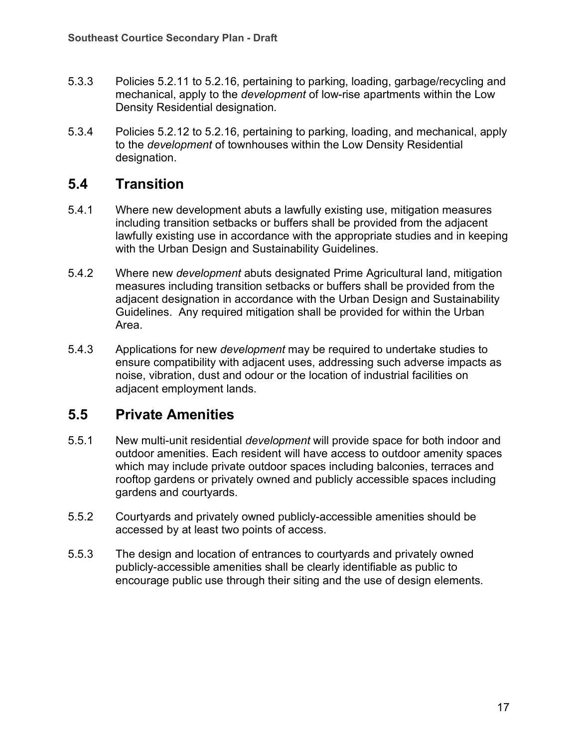- 5.3.3 Policies [5.2.11](#page-14-0) to [5.2.16,](#page-15-0) pertaining to parking, loading, garbage/recycling and mechanical, apply to the *development* of low-rise apartments within the Low Density Residential designation.
- 5.3.4 Policies [5.2.12](#page-14-1) to [5.2.16,](#page-15-0) pertaining to parking, loading, and mechanical, apply to the *development* of townhouses within the Low Density Residential designation.

## **5.4 Transition**

- 5.4.1 Where new development abuts a lawfully existing use, mitigation measures including transition setbacks or buffers shall be provided from the adjacent lawfully existing use in accordance with the appropriate studies and in keeping with the Urban Design and Sustainability Guidelines.
- 5.4.2 Where new *development* abuts designated Prime Agricultural land, mitigation measures including transition setbacks or buffers shall be provided from the adjacent designation in accordance with the Urban Design and Sustainability Guidelines. Any required mitigation shall be provided for within the Urban Area.
- 5.4.3 Applications for new *development* may be required to undertake studies to ensure compatibility with adjacent uses, addressing such adverse impacts as noise, vibration, dust and odour or the location of industrial facilities on adjacent employment lands.

## **5.5 Private Amenities**

- 5.5.1 New multi-unit residential *development* will provide space for both indoor and outdoor amenities. Each resident will have access to outdoor amenity spaces which may include private outdoor spaces including balconies, terraces and rooftop gardens or privately owned and publicly accessible spaces including gardens and courtyards.
- 5.5.2 Courtyards and privately owned publicly-accessible amenities should be accessed by at least two points of access.
- 5.5.3 The design and location of entrances to courtyards and privately owned publicly-accessible amenities shall be clearly identifiable as public to encourage public use through their siting and the use of design elements.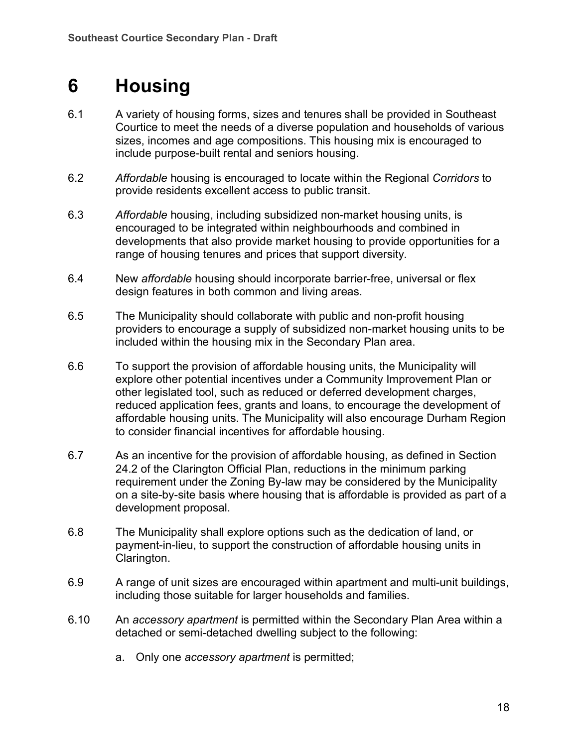## **6 Housing**

- 6.1 A variety of housing forms, sizes and tenures shall be provided in Southeast Courtice to meet the needs of a diverse population and households of various sizes, incomes and age compositions. This housing mix is encouraged to include purpose-built rental and seniors housing.
- 6.2 *Affordable* housing is encouraged to locate within the Regional *Corridors* to provide residents excellent access to public transit.
- 6.3 *Affordable* housing, including subsidized non-market housing units, is encouraged to be integrated within neighbourhoods and combined in developments that also provide market housing to provide opportunities for a range of housing tenures and prices that support diversity.
- 6.4 New *affordable* housing should incorporate barrier-free, universal or flex design features in both common and living areas.
- 6.5 The Municipality should collaborate with public and non-profit housing providers to encourage a supply of subsidized non-market housing units to be included within the housing mix in the Secondary Plan area.
- 6.6 To support the provision of affordable housing units, the Municipality will explore other potential incentives under a Community Improvement Plan or other legislated tool, such as reduced or deferred development charges, reduced application fees, grants and loans, to encourage the development of affordable housing units. The Municipality will also encourage Durham Region to consider financial incentives for affordable housing.
- 6.7 As an incentive for the provision of affordable housing, as defined in Section 24.2 of the Clarington Official Plan, reductions in the minimum parking requirement under the Zoning By-law may be considered by the Municipality on a site-by-site basis where housing that is affordable is provided as part of a development proposal.
- 6.8 The Municipality shall explore options such as the dedication of land, or payment-in-lieu, to support the construction of affordable housing units in Clarington.
- 6.9 A range of unit sizes are encouraged within apartment and multi-unit buildings, including those suitable for larger households and families.
- 6.10 An *accessory apartment* is permitted within the Secondary Plan Area within a detached or semi-detached dwelling subject to the following:
	- a. Only one *accessory apartment* is permitted;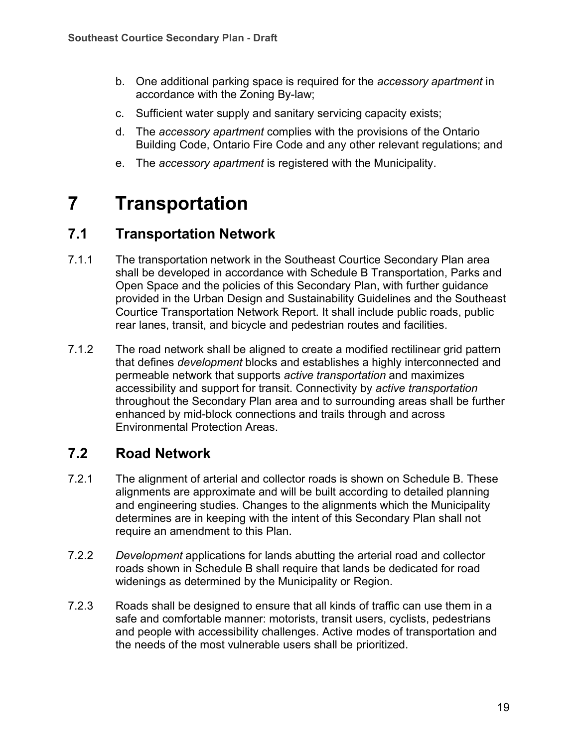- b. One additional parking space is required for the *accessory apartment* in accordance with the Zoning By-law;
- c. Sufficient water supply and sanitary servicing capacity exists;
- d. The *accessory apartment* complies with the provisions of the Ontario Building Code, Ontario Fire Code and any other relevant regulations; and
- e. The *accessory apartment* is registered with the Municipality.

## **7 Transportation**

## **7.1 Transportation Network**

- 7.1.1 The transportation network in the Southeast Courtice Secondary Plan area shall be developed in accordance with Schedule B Transportation, Parks and Open Space and the policies of this Secondary Plan, with further guidance provided in the Urban Design and Sustainability Guidelines and the Southeast Courtice Transportation Network Report. It shall include public roads, public rear lanes, transit, and bicycle and pedestrian routes and facilities.
- 7.1.2 The road network shall be aligned to create a modified rectilinear grid pattern that defines *development* blocks and establishes a highly interconnected and permeable network that supports *active transportation* and maximizes accessibility and support for transit. Connectivity by *active transportation* throughout the Secondary Plan area and to surrounding areas shall be further enhanced by mid-block connections and trails through and across Environmental Protection Areas.

## **7.2 Road Network**

- 7.2.1 The alignment of arterial and collector roads is shown on Schedule B. These alignments are approximate and will be built according to detailed planning and engineering studies. Changes to the alignments which the Municipality determines are in keeping with the intent of this Secondary Plan shall not require an amendment to this Plan.
- 7.2.2 *Development* applications for lands abutting the arterial road and collector roads shown in Schedule B shall require that lands be dedicated for road widenings as determined by the Municipality or Region.
- 7.2.3 Roads shall be designed to ensure that all kinds of traffic can use them in a safe and comfortable manner: motorists, transit users, cyclists, pedestrians and people with accessibility challenges. Active modes of transportation and the needs of the most vulnerable users shall be prioritized.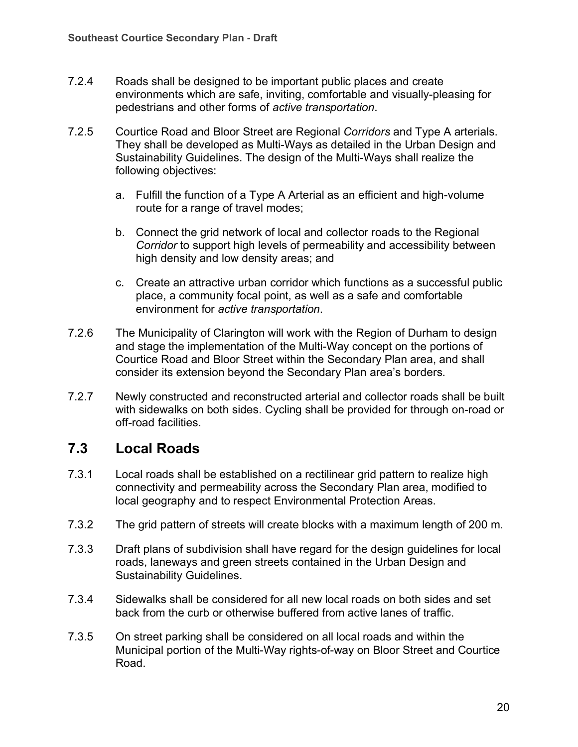- 7.2.4 Roads shall be designed to be important public places and create environments which are safe, inviting, comfortable and visually-pleasing for pedestrians and other forms of *active transportation*.
- 7.2.5 Courtice Road and Bloor Street are Regional *Corridors* and Type A arterials. They shall be developed as Multi-Ways as detailed in the Urban Design and Sustainability Guidelines. The design of the Multi-Ways shall realize the following objectives:
	- a. Fulfill the function of a Type A Arterial as an efficient and high-volume route for a range of travel modes;
	- b. Connect the grid network of local and collector roads to the Regional *Corridor* to support high levels of permeability and accessibility between high density and low density areas; and
	- c. Create an attractive urban corridor which functions as a successful public place, a community focal point, as well as a safe and comfortable environment for *active transportation*.
- 7.2.6 The Municipality of Clarington will work with the Region of Durham to design and stage the implementation of the Multi-Way concept on the portions of Courtice Road and Bloor Street within the Secondary Plan area, and shall consider its extension beyond the Secondary Plan area's borders.
- 7.2.7 Newly constructed and reconstructed arterial and collector roads shall be built with sidewalks on both sides. Cycling shall be provided for through on-road or off-road facilities.

## **7.3 Local Roads**

- 7.3.1 Local roads shall be established on a rectilinear grid pattern to realize high connectivity and permeability across the Secondary Plan area, modified to local geography and to respect Environmental Protection Areas.
- 7.3.2 The grid pattern of streets will create blocks with a maximum length of 200 m.
- 7.3.3 Draft plans of subdivision shall have regard for the design guidelines for local roads, laneways and green streets contained in the Urban Design and Sustainability Guidelines.
- 7.3.4 Sidewalks shall be considered for all new local roads on both sides and set back from the curb or otherwise buffered from active lanes of traffic.
- 7.3.5 On street parking shall be considered on all local roads and within the Municipal portion of the Multi-Way rights-of-way on Bloor Street and Courtice Road.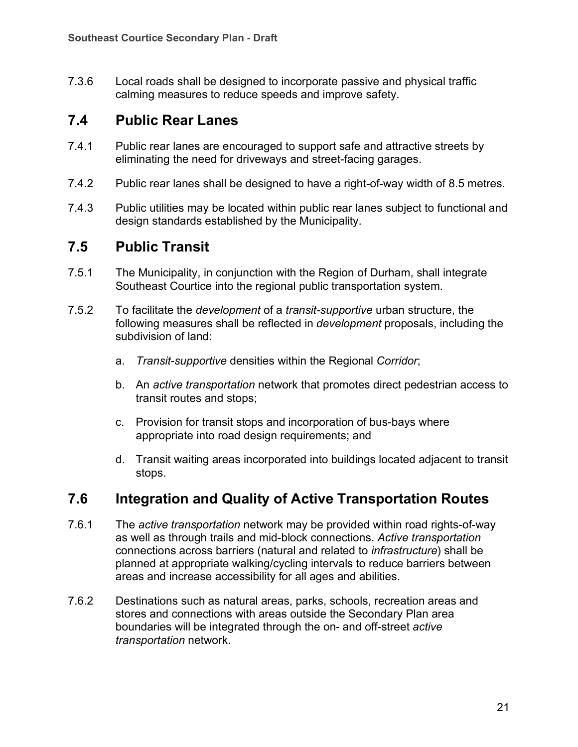7.3.6 Local roads shall be designed to incorporate passive and physical traffic calming measures to reduce speeds and improve safety.

## **7.4 Public Rear Lanes**

- 7.4.1 Public rear lanes are encouraged to support safe and attractive streets by eliminating the need for driveways and street-facing garages.
- 7.4.2 Public rear lanes shall be designed to have a right-of-way width of 8.5 metres.
- 7.4.3 Public utilities may be located within public rear lanes subject to functional and design standards established by the Municipality.

## **7.5 Public Transit**

- 7.5.1 The Municipality, in conjunction with the Region of Durham, shall integrate Southeast Courtice into the regional public transportation system.
- 7.5.2 To facilitate the *development* of a *transit-supportive* urban structure, the following measures shall be reflected in *development* proposals, including the subdivision of land:
	- a. *Transit-supportive* densities within the Regional *Corridor*;
	- b. An *active transportation* network that promotes direct pedestrian access to transit routes and stops;
	- c. Provision for transit stops and incorporation of bus-bays where appropriate into road design requirements; and
	- d. Transit waiting areas incorporated into buildings located adjacent to transit stops.

## **7.6 Integration and Quality of Active Transportation Routes**

- 7.6.1 The *active transportation* network may be provided within road rights-of-way as well as through trails and mid-block connections. *Active transportation* connections across barriers (natural and related to *infrastructure*) shall be planned at appropriate walking/cycling intervals to reduce barriers between areas and increase accessibility for all ages and abilities.
- 7.6.2 Destinations such as natural areas, parks, schools, recreation areas and stores and connections with areas outside the Secondary Plan area boundaries will be integrated through the on- and off-street *active transportation* network.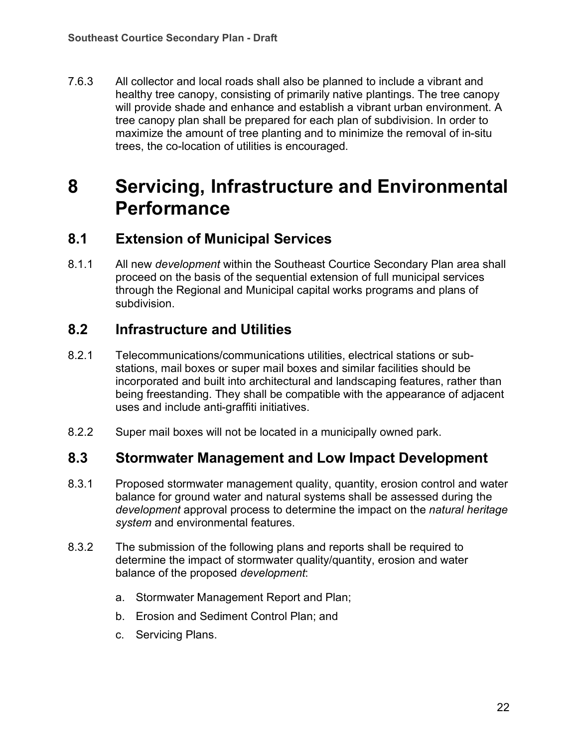7.6.3 All collector and local roads shall also be planned to include a vibrant and healthy tree canopy, consisting of primarily native plantings. The tree canopy will provide shade and enhance and establish a vibrant urban environment. A tree canopy plan shall be prepared for each plan of subdivision. In order to maximize the amount of tree planting and to minimize the removal of in-situ trees, the co-location of utilities is encouraged.

## **8 Servicing, Infrastructure and Environmental Performance**

## **8.1 Extension of Municipal Services**

8.1.1 All new *development* within the Southeast Courtice Secondary Plan area shall proceed on the basis of the sequential extension of full municipal services through the Regional and Municipal capital works programs and plans of subdivision.

## **8.2 Infrastructure and Utilities**

- 8.2.1 Telecommunications/communications utilities, electrical stations or substations, mail boxes or super mail boxes and similar facilities should be incorporated and built into architectural and landscaping features, rather than being freestanding. They shall be compatible with the appearance of adjacent uses and include anti-graffiti initiatives.
- 8.2.2 Super mail boxes will not be located in a municipally owned park.

### **8.3 Stormwater Management and Low Impact Development**

- 8.3.1 Proposed stormwater management quality, quantity, erosion control and water balance for ground water and natural systems shall be assessed during the *development* approval process to determine the impact on the *natural heritage system* and environmental features.
- 8.3.2 The submission of the following plans and reports shall be required to determine the impact of stormwater quality/quantity, erosion and water balance of the proposed *development*:
	- a. Stormwater Management Report and Plan;
	- b. Erosion and Sediment Control Plan; and
	- c. Servicing Plans.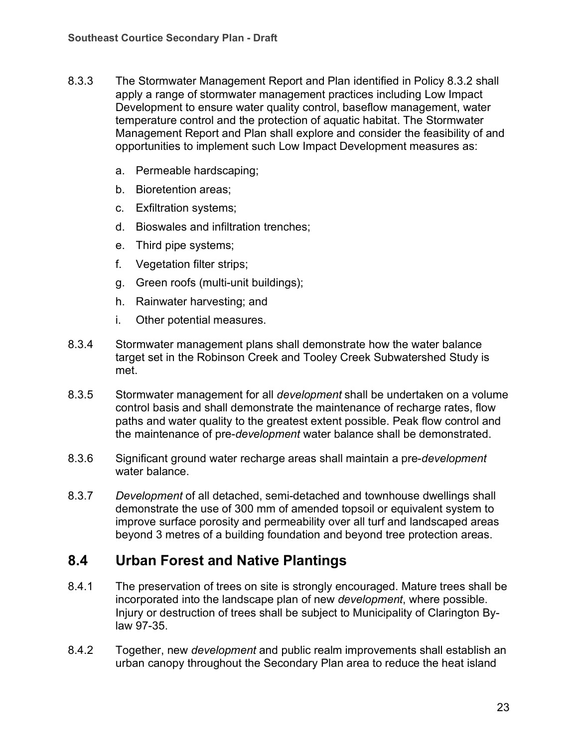- 8.3.3 The Stormwater Management Report and Plan identified in Policy 8.3.2 shall apply a range of stormwater management practices including Low Impact Development to ensure water quality control, baseflow management, water temperature control and the protection of aquatic habitat. The Stormwater Management Report and Plan shall explore and consider the feasibility of and opportunities to implement such Low Impact Development measures as:
	- a. Permeable hardscaping;
	- b. Bioretention areas;
	- c. Exfiltration systems;
	- d. Bioswales and infiltration trenches;
	- e. Third pipe systems;
	- f. Vegetation filter strips;
	- g. Green roofs (multi-unit buildings);
	- h. Rainwater harvesting; and
	- i. Other potential measures.
- 8.3.4 Stormwater management plans shall demonstrate how the water balance target set in the Robinson Creek and Tooley Creek Subwatershed Study is met.
- 8.3.5 Stormwater management for all *development* shall be undertaken on a volume control basis and shall demonstrate the maintenance of recharge rates, flow paths and water quality to the greatest extent possible. Peak flow control and the maintenance of pre-*development* water balance shall be demonstrated.
- 8.3.6 Significant ground water recharge areas shall maintain a pre-*development*  water balance.
- 8.3.7 *Development* of all detached, semi-detached and townhouse dwellings shall demonstrate the use of 300 mm of amended topsoil or equivalent system to improve surface porosity and permeability over all turf and landscaped areas beyond 3 metres of a building foundation and beyond tree protection areas.

### **8.4 Urban Forest and Native Plantings**

- 8.4.1 The preservation of trees on site is strongly encouraged. Mature trees shall be incorporated into the landscape plan of new *development*, where possible. Injury or destruction of trees shall be subject to Municipality of Clarington Bylaw 97-35.
- 8.4.2 Together, new *development* and public realm improvements shall establish an urban canopy throughout the Secondary Plan area to reduce the heat island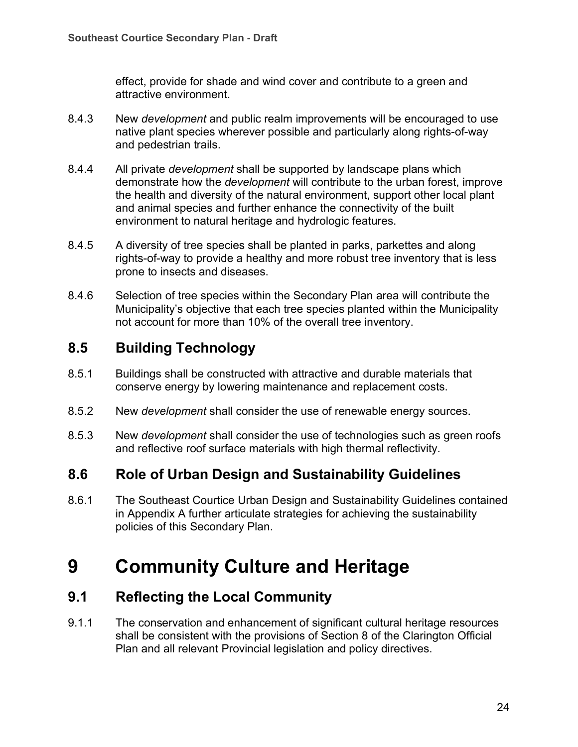effect, provide for shade and wind cover and contribute to a green and attractive environment.

- 8.4.3 New *development* and public realm improvements will be encouraged to use native plant species wherever possible and particularly along rights-of-way and pedestrian trails.
- 8.4.4 All private *development* shall be supported by landscape plans which demonstrate how the *development* will contribute to the urban forest, improve the health and diversity of the natural environment, support other local plant and animal species and further enhance the connectivity of the built environment to natural heritage and hydrologic features.
- 8.4.5 A diversity of tree species shall be planted in parks, parkettes and along rights-of-way to provide a healthy and more robust tree inventory that is less prone to insects and diseases.
- 8.4.6 Selection of tree species within the Secondary Plan area will contribute the Municipality's objective that each tree species planted within the Municipality not account for more than 10% of the overall tree inventory.

## **8.5 Building Technology**

- 8.5.1 Buildings shall be constructed with attractive and durable materials that conserve energy by lowering maintenance and replacement costs.
- 8.5.2 New *development* shall consider the use of renewable energy sources.
- 8.5.3 New *development* shall consider the use of technologies such as green roofs and reflective roof surface materials with high thermal reflectivity.

### **8.6 Role of Urban Design and Sustainability Guidelines**

8.6.1 The Southeast Courtice Urban Design and Sustainability Guidelines contained in Appendix A further articulate strategies for achieving the sustainability policies of this Secondary Plan.

## **9 Community Culture and Heritage**

## **9.1 Reflecting the Local Community**

9.1.1 The conservation and enhancement of significant cultural heritage resources shall be consistent with the provisions of Section 8 of the Clarington Official Plan and all relevant Provincial legislation and policy directives.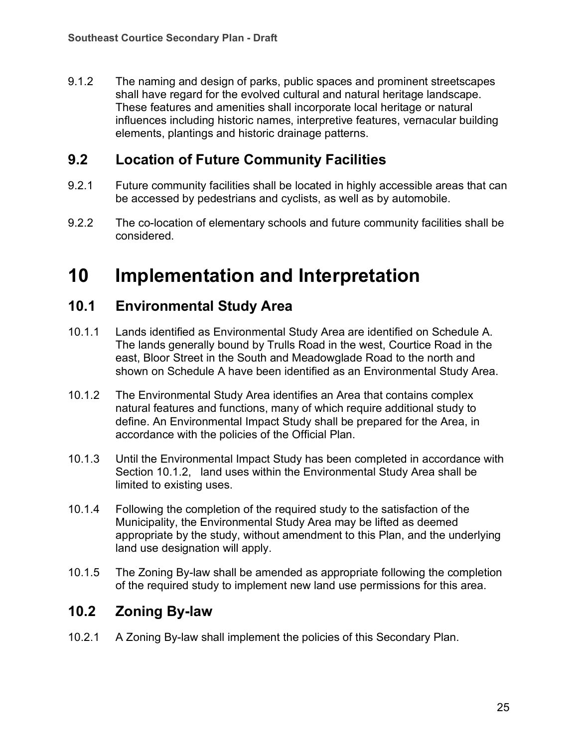9.1.2 The naming and design of parks, public spaces and prominent streetscapes shall have regard for the evolved cultural and natural heritage landscape. These features and amenities shall incorporate local heritage or natural influences including historic names, interpretive features, vernacular building elements, plantings and historic drainage patterns.

## **9.2 Location of Future Community Facilities**

- 9.2.1 Future community facilities shall be located in highly accessible areas that can be accessed by pedestrians and cyclists, as well as by automobile.
- 9.2.2 The co-location of elementary schools and future community facilities shall be considered.

## **10 Implementation and Interpretation**

## **10.1 Environmental Study Area**

- 10.1.1 Lands identified as Environmental Study Area are identified on Schedule A. The lands generally bound by Trulls Road in the west, Courtice Road in the east, Bloor Street in the South and Meadowglade Road to the north and shown on Schedule A have been identified as an Environmental Study Area.
- 10.1.2 The Environmental Study Area identifies an Area that contains complex natural features and functions, many of which require additional study to define. An Environmental Impact Study shall be prepared for the Area, in accordance with the policies of the Official Plan.
- 10.1.3 Until the Environmental Impact Study has been completed in accordance with Section 10.1.2, land uses within the Environmental Study Area shall be limited to existing uses.
- 10.1.4 Following the completion of the required study to the satisfaction of the Municipality, the Environmental Study Area may be lifted as deemed appropriate by the study, without amendment to this Plan, and the underlying land use designation will apply.
- 10.1.5 The Zoning By-law shall be amended as appropriate following the completion of the required study to implement new land use permissions for this area.

## **10.2 Zoning By-law**

10.2.1 A Zoning By-law shall implement the policies of this Secondary Plan.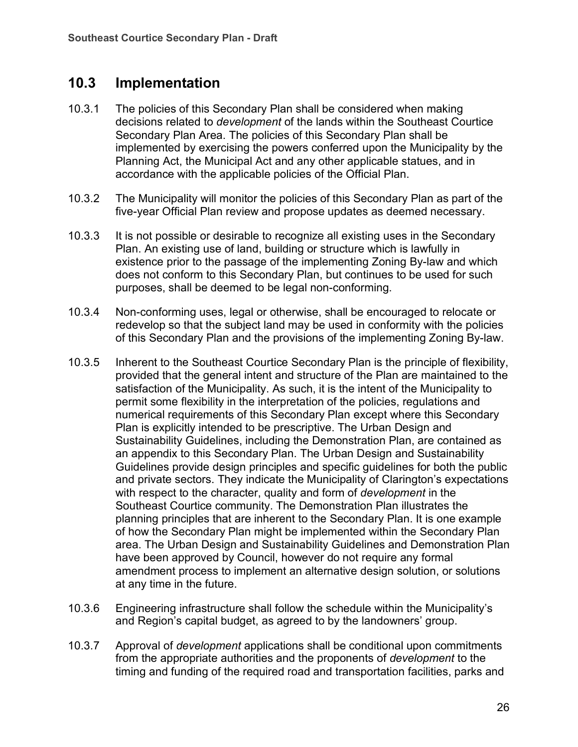## **10.3 Implementation**

- 10.3.1 The policies of this Secondary Plan shall be considered when making decisions related to *development* of the lands within the Southeast Courtice Secondary Plan Area. The policies of this Secondary Plan shall be implemented by exercising the powers conferred upon the Municipality by the Planning Act, the Municipal Act and any other applicable statues, and in accordance with the applicable policies of the Official Plan.
- 10.3.2 The Municipality will monitor the policies of this Secondary Plan as part of the five-year Official Plan review and propose updates as deemed necessary.
- 10.3.3 It is not possible or desirable to recognize all existing uses in the Secondary Plan. An existing use of land, building or structure which is lawfully in existence prior to the passage of the implementing Zoning By-law and which does not conform to this Secondary Plan, but continues to be used for such purposes, shall be deemed to be legal non-conforming.
- 10.3.4 Non-conforming uses, legal or otherwise, shall be encouraged to relocate or redevelop so that the subject land may be used in conformity with the policies of this Secondary Plan and the provisions of the implementing Zoning By-law.
- 10.3.5 Inherent to the Southeast Courtice Secondary Plan is the principle of flexibility, provided that the general intent and structure of the Plan are maintained to the satisfaction of the Municipality. As such, it is the intent of the Municipality to permit some flexibility in the interpretation of the policies, regulations and numerical requirements of this Secondary Plan except where this Secondary Plan is explicitly intended to be prescriptive. The Urban Design and Sustainability Guidelines, including the Demonstration Plan, are contained as an appendix to this Secondary Plan. The Urban Design and Sustainability Guidelines provide design principles and specific guidelines for both the public and private sectors. They indicate the Municipality of Clarington's expectations with respect to the character, quality and form of *development* in the Southeast Courtice community. The Demonstration Plan illustrates the planning principles that are inherent to the Secondary Plan. It is one example of how the Secondary Plan might be implemented within the Secondary Plan area. The Urban Design and Sustainability Guidelines and Demonstration Plan have been approved by Council, however do not require any formal amendment process to implement an alternative design solution, or solutions at any time in the future.
- 10.3.6 Engineering infrastructure shall follow the schedule within the Municipality's and Region's capital budget, as agreed to by the landowners' group.
- 10.3.7 Approval of *development* applications shall be conditional upon commitments from the appropriate authorities and the proponents of *development* to the timing and funding of the required road and transportation facilities, parks and